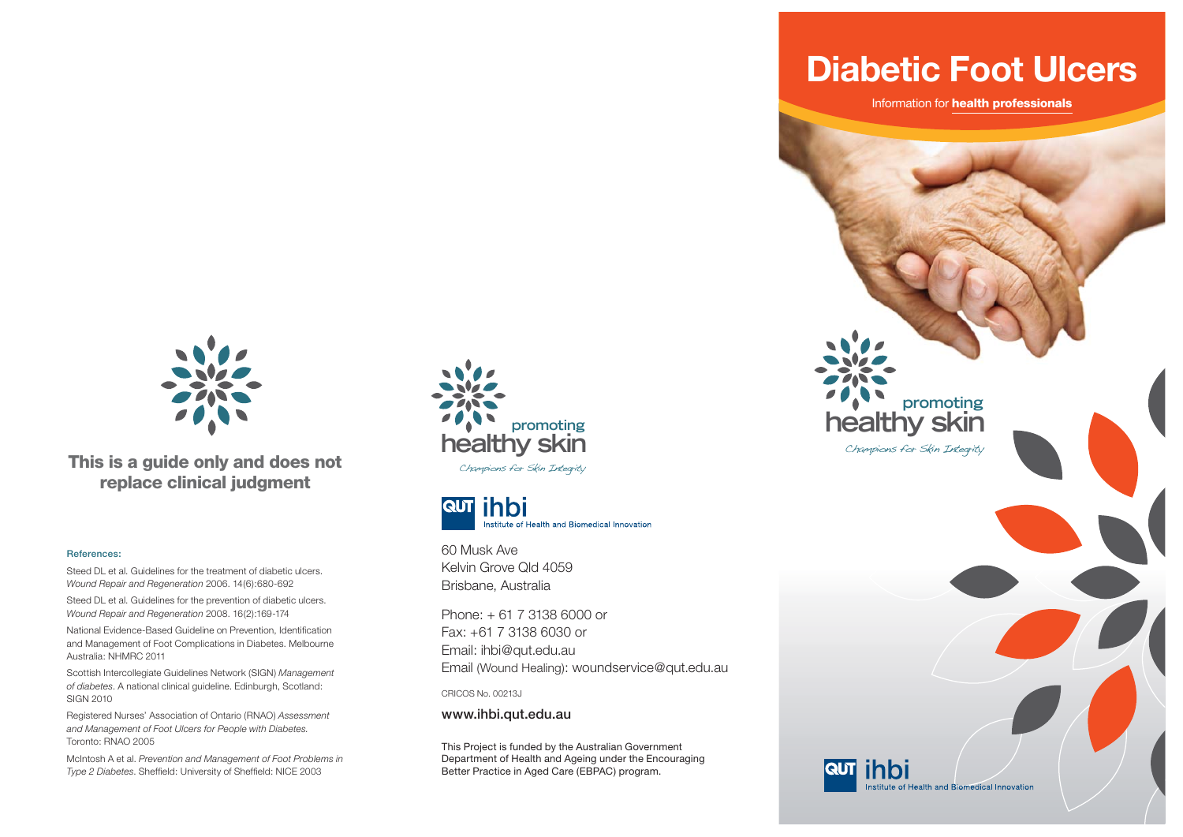

**This is a guide only and does not replace clinical judgment**

#### **References:**

Steed DL et al. Guidelines for the treatment of diabetic ulcers. *Wound Repair and Regeneration* 2006. 14(6):680-692

Steed DL et al. Guidelines for the prevention of diabetic ulcers. *Wound Repair and Regeneration* 2008. 16(2):169-174

National Evidence-Based Guideline on Prevention, Identification and Management of Foot Complications in Diabetes. Melbourne Australia: NHMRC 2011

Scottish Intercollegiate Guidelines Network (SIGN) *Management of diabetes*. A national clinical guideline. Edinburgh, Scotland: SIGN 2010

Registered Nurses' Association of Ontario (RNAO) *Assessment and Management of Foot Ulcers for People with Diabetes.* Toronto: RNAO 2005

McIntosh A et al. *Prevention and Management of Foot Problems in Type 2 Diabetes*. Sheffield: University of Sheffield: NICE 2003



Champions for Skin Integrity



60 Musk Ave Kelvin Grove Qld 4059Brisbane, Australia

Phone: + 61 7 3138 6000 or Fax: +61 7 3138 6030 or Email: ihbi@qut.edu.au Email (Wound Healing): woundservice@qut.edu.au

CRICOS No. 00213J

**www.ihbi.qut.edu.au**

This Project is funded by the Australian Government Department of Health and Ageing under the Encouraging Better Practice in Aged Care (EBPAC) program.

**Diabetic Foot Ulcers**

Information for **health professionals**

**healthy skin**

**RUT ihbi** 

Champions for Skin Integrity

**promoting**

Institute of Health and Biomedical Innovation